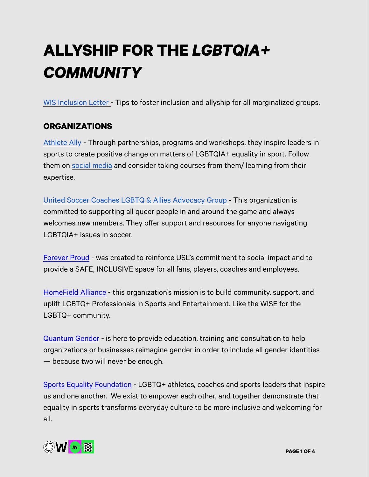# **ALLYSHIP FOR THE** *LGBTQIA+ COMMUNITY*

[WIS Inclusion Letter -](https://womeninsoccer.org/dear-members-wis-inclusion-letter/) Tips to foster inclusion and allyship for all marginalized groups.

## **ORGANIZATIONS**

[Athlete Ally](https://www.athleteally.org/) - Through partnerships, programs and workshops, they inspire leaders in sports to create positive change on matters of LGBTQIA+ equality in sport. Follow them on [social media](https://twitter.com/AthleteAlly) and consider taking courses from them/ learning from their expertise.

[United Soccer Coaches LGBTQ & Allies Advocacy Group -](https://unitedsoccercoaches.org/join/youth/lgbt-soccer-coaches-and-allies-community/) This organization is committed to supporting all queer people in and around the game and always welcomes new members. They offer support and resources for anyone navigating LGBTQIA+ issues in soccer.

[Forever Proud](https://www.uslsoccer.com/forever-proud) - was created to reinforce USL's commitment to social impact and to provide a SAFE, INCLUSIVE space for all fans, players, coaches and employees.

[HomeField Alliance](https://homefieldalliance.org/) - this organization's mission is to build community, support, and uplift LGBTQ+ Professionals in Sports and Entertainment. Like the WISE for the LGBTQ+ community.

[Quantum Gender](https://www.kaiglightner.com/) - is here to provide education, training and consultation to help organizations or businesses reimagine gender in order to include all gender identities — because two will never be enough.

[Sports Equality Foundation](https://www.instagram.com/sportsequalityfdn/?hl=en) - LGBTQ+ athletes, coaches and sports leaders that inspire us and one another. We exist to empower each other, and together demonstrate that equality in sports transforms everyday culture to be more inclusive and welcoming for all.

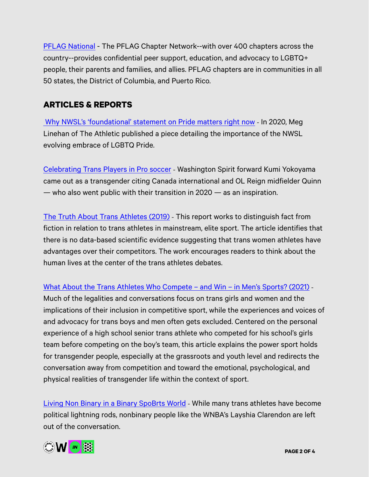[PFLAG National](https://pflag.org/) - The PFLAG Chapter Network--with over 400 chapters across the country--provides confidential peer support, education, and advocacy to LGBTQ+ people, their parents and families, and allies. PFLAG chapters are in communities in all 50 states, the District of Columbia, and Puerto Rico.

### **ARTICLES & REPORTS**

[Why NWSL's 'foundational' statement on Pride matters right now](https://theathletic.com/1925163/2020/07/13/why-nwsls-foundational-statement-on-pride-matters-right-now/?article_source=search&search_query=Why%20NWSL%E2%80%99s%20%E2%80%98foundational%E2%80%99%20statement%20on%20Pride%20matters%20right%20now) - In 2020, Meg Linehan of The Athletic published a piece detailing the importance of the NWSL evolving embrace of LGBTQ Pride.

[Celebrating Trans Players in Pro soccer](https://theworldnews.net/jp-news/soccer-player-kumi-yokoyama-comes-out-as-transgender-it-would-be-harder-to-live-closeted) - Washington Spirit forward Kumi Yokoyama came out as a transgender citing Canada international and OL Reign midfielder Quinn — who also went public with their transition in 2020 — as an inspiration.

[The Truth About Trans Athletes \(2019\)](https://www.menshealth.com/uk/fitness/a26798247/trans-athletes-sporting-performance/) - This report works to distinguish fact from fiction in relation to trans athletes in mainstream, elite sport. The article identifies that there is no data-based scientific evidence suggesting that trans women athletes have advantages over their competitors. The work encourages readers to think about the human lives at the center of the trans athletes debates.

#### [What About the Trans Athletes Who Compete – and Win – in Men's Sports? \(2021\)](https://www.insidehook.com/article/sports/trans-athletes-win-boys-sports) -

Much of the legalities and conversations focus on trans girls and women and the implications of their inclusion in competitive sport, while the experiences and voices of and advocacy for trans boys and men often gets excluded. Centered on the personal experience of a high school senior trans athlete who competed for his school's girls team before competing on the boy's team, this article explains the power sport holds for transgender people, especially at the grassroots and youth level and redirects the conversation away from competition and toward the emotional, psychological, and physical realities of transgender life within the context of sport.

[Living Non Binary in a Binary SpoBrts World](https://www.si.com/wnba/2021/04/16/nonbinary-athletes-transgender-layshia-clarendon-quinn-rach-mcbride-daily-cover) - While many trans athletes have become political lightning rods, nonbinary people like the WNBA's Layshia Clarendon are left out of the conversation.

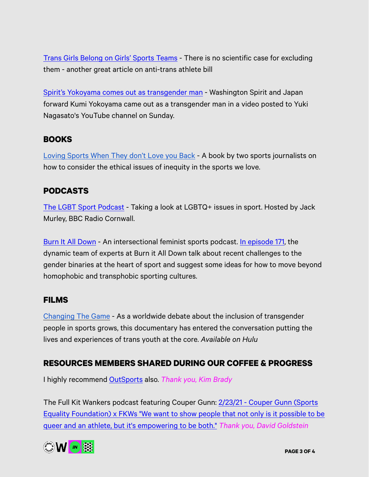[Trans Girls Belong on Girls' Sports Teams](https://www.scientificamerican.com/article/trans-girls-belong-on-girls-sports-teams/) - There is no scientific case for excluding them - another great article on anti-trans athlete bill

[Spirit's Yokoyama comes out as transgender man](https://www.espn.com/soccer/washington-spirit/story/4416541/washington-spirits-kumi-yokoyama-comes-out-as-transgender-it-would-be-harder-to-live-closeted) - Washington Spirit and Japan forward Kumi Yokoyama came out as a transgender man in a video posted to Yuki Nagasato's YouTube channel on Sunday.

#### **BOOKS**

[Loving Sports When They don't Love you Back](https://www.texasmonthly.com/the-culture/loving-sports-when-they-dont-love-you-back-is-an-ethical-guide-for-fans/) - A book by two sports journalists on how to consider the ethical issues of inequity in the sports we love.

## **PODCASTS**

[The LGBT Sport Podcast](https://www.bbc.co.uk/sounds/series/p06m38g1) - Taking a look at LGBTQ+ issues in sport. Hosted by Jack Murley, BBC Radio Cornwall.

[Burn It All Down](https://www.burnitalldownpod.com/) - An intersectional feminist sports podcast. [In episode 171](https://www.burnitalldownpod.com/episodes/171), the dynamic team of experts at Burn it All Down talk about recent challenges to the gender binaries at the heart of sport and suggest some ideas for how to move beyond homophobic and transphobic sporting cultures.

#### **FILMS**

[Changing The Game](https://www.hulu.com/movie/changing-the-game-71bcd7f5-63b4-485c-b4ee-ed41517484d1) - As a worldwide debate about the inclusion of transgender people in sports grows, this documentary has entered the conversation putting the lives and experiences of trans youth at the core. *Available on Hulu*

#### **RESOURCES MEMBERS SHARED DURING OUR COFFEE & PROGRESS**

I highly recommend [OutSports](https://www.outsports.com/2021/3/22/22340671/kim-brady-cal-soccer-lesbian-coming-ou) also. *Thank you, Kim Brady*

The Full Kit Wankers podcast featuring Couper Gunn: [2/23/21 - Couper Gunn \(Sports](https://podcasts.apple.com/us/podcast/2-23-21-couper-gunn-sports-equality-foundation-x-fkws/id1436679306?i=1000510365564)  [Equality Foundation\) x FKWs "We want to show people that not only is it possible to be](https://podcasts.apple.com/us/podcast/2-23-21-couper-gunn-sports-equality-foundation-x-fkws/id1436679306?i=1000510365564)  [queer and an athlete, but it's empowering to be both."](https://podcasts.apple.com/us/podcast/2-23-21-couper-gunn-sports-equality-foundation-x-fkws/id1436679306?i=1000510365564) *Thank you, David Goldstein*